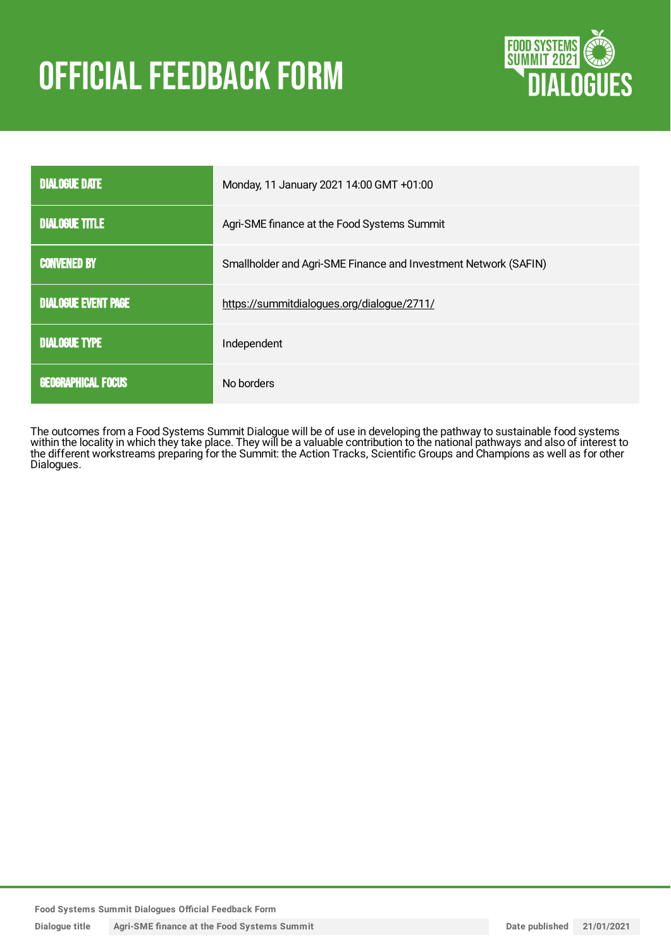# **OFFICIAL FEEDBACK FORM**



| <b>DIALOGUE DATE</b>       | Monday, 11 January 2021 14:00 GMT +01:00                        |
|----------------------------|-----------------------------------------------------------------|
| <b>DIALOGUE TITLE</b>      | Agri-SME finance at the Food Systems Summit                     |
| <b>CONVENED BY</b>         | Smallholder and Agri-SME Finance and Investment Network (SAFIN) |
| <b>DIALOGUE EVENT PAGE</b> | https://summitdialogues.org/dialogue/2711/                      |
| <b>DIALOGUE TYPE</b>       | Independent                                                     |
| <b>GEOGRAPHICAL FOCUS</b>  | No borders                                                      |

The outcomes from a Food Systems Summit Dialogue will be of use in developing the pathway to sustainable food systems within the locality in which they take place. They will be a valuable contribution to the national pathways and also of interest to the different workstreams preparing for the Summit: the Action Tracks, Scientific Groups and Champions as well as for other Dialogues.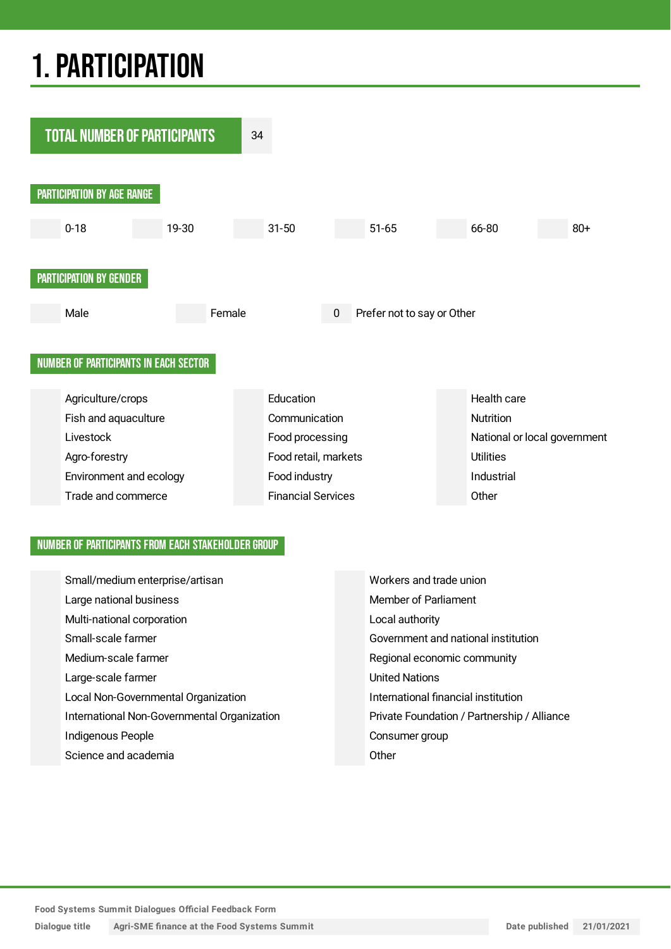## 1.PARTICIPATION



#### NUMBER OF PARTICIPANTS FROM EACH STAKEHOLDER GROUP

| Small/medium enterprise/artisan             | Workers and trade union                     |
|---------------------------------------------|---------------------------------------------|
| Large national business                     | Member of Parliament                        |
| Multi-national corporation                  | Local authority                             |
| Small-scale farmer                          | Government and national institution         |
| Medium-scale farmer                         | Regional economic community                 |
| Large-scale farmer                          | <b>United Nations</b>                       |
| Local Non-Governmental Organization         | International financial institution         |
| International Non-Governmental Organization | Private Foundation / Partnership / Alliance |
| Indigenous People                           | Consumer group                              |
| Science and academia                        | Other                                       |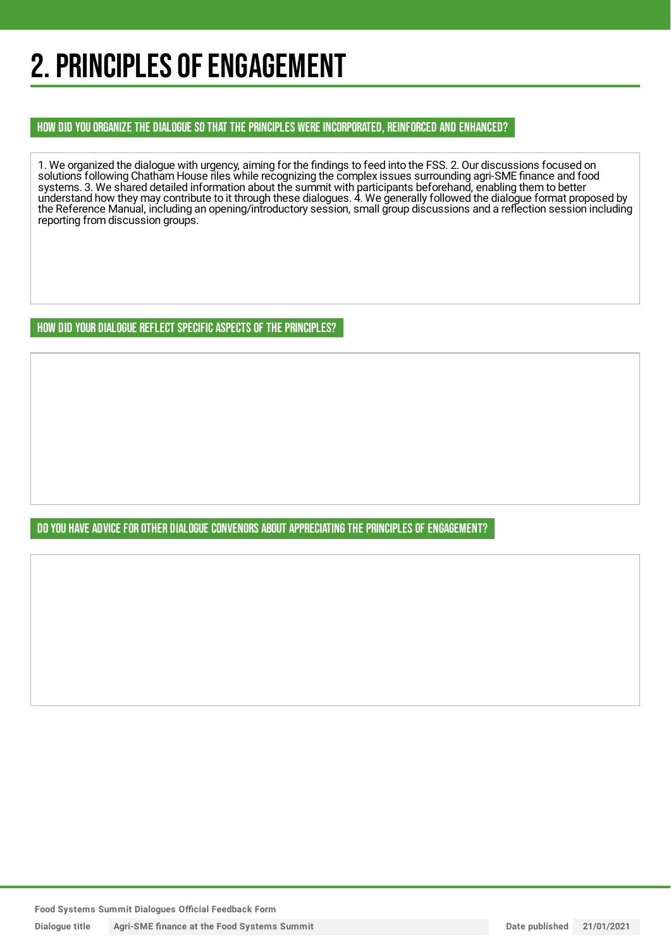## 2. PRINCIPLES OF ENGAGEMENT

HOW DID YOU ORGANIZE THE DIALOGUE SO THAT THE PRINCIPLES WERE INCORPORATED, REINFORCED AND ENHANCED?

1. We organized the dialogue with urgency, aiming for the findings to feed into the FSS. 2. Our discussions focused on solutions following Chatham House riles while recognizing the complex issues surrounding agri-SME finance and food systems. 3. We shared detailed information about the summit with participants beforehand, enabling them to better understand how they may contribute to it through these dialogues. 4. We generally followed the dialogue format proposed by the Reference Manual, including an opening/introductory session, small group discussions and a reflection session including reporting from discussion groups.

HOW DID YOUR DIALOGUE REFLECT SPECIFIC ASPECTS OF THE PRINCIPLES?

DO YOU HAVE ADVICE FOR OTHER DIALOGUE CONVENORS ABOUT APPRECIATINGTHE PRINCIPLES OF ENGAGEMENT?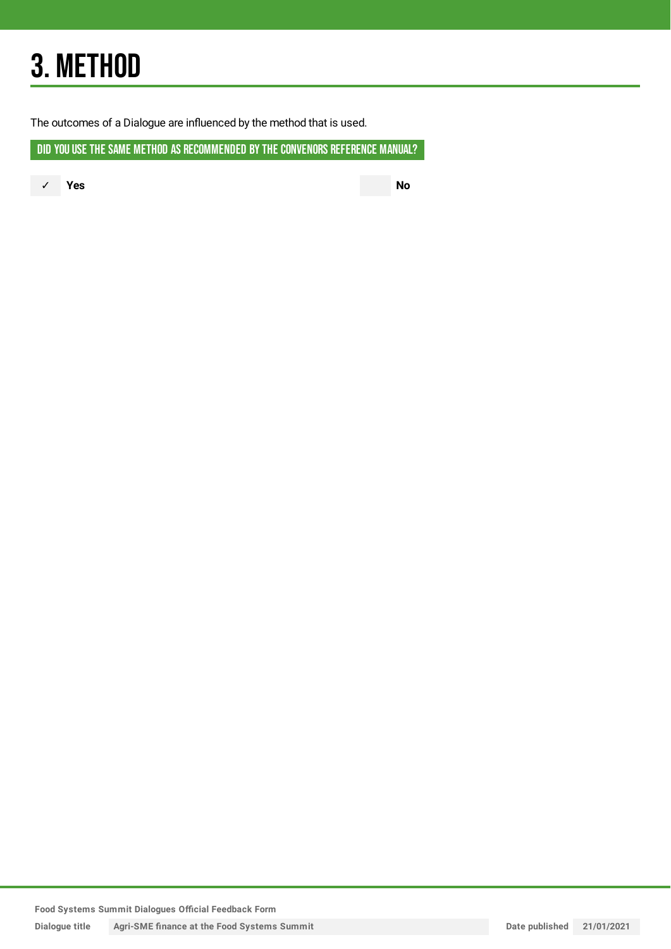## 3. METHOD

The outcomes of a Dialogue are influenced by the method that is used.

DID YOU USE THE SAME METHOD AS RECOMMENDED BY THE CONVENORS REFERENCE MANUAL?

✓ **Yes No**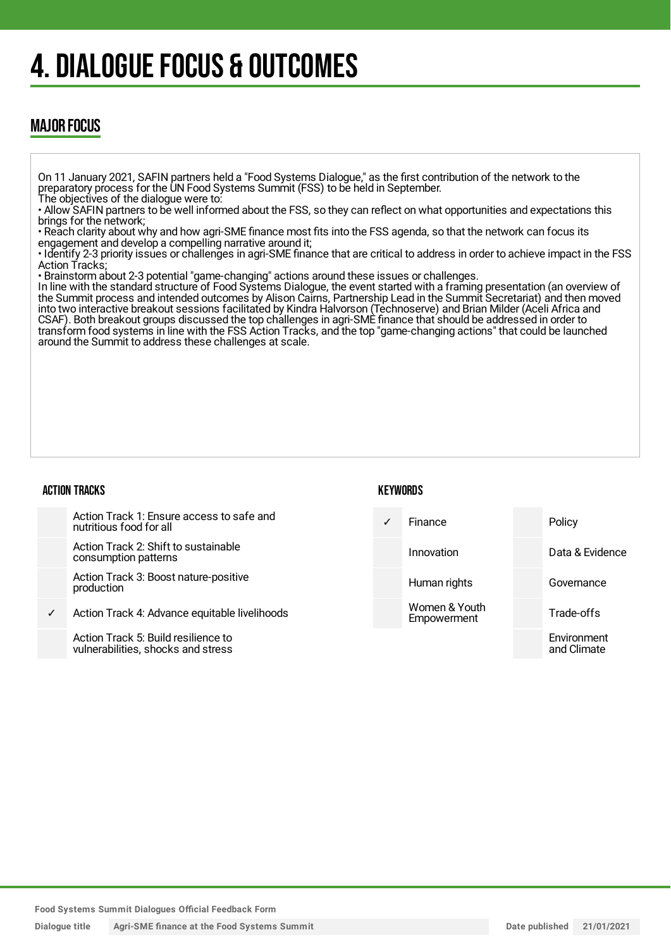## 4. DIALOGUE FOCUS & OUTCOMES

### MAJOR FOCUS

On 11 January 2021, SAFIN partners held a "Food Systems Dialogue," as the first contribution of the network to the preparatory process for the UN Food Systems Summit (FSS) to be held in September.

The objectives of the dialogue were to:

• Allow SAFIN partners to be well informed about the FSS, so they can reflect on what opportunities and expectations this brings for the network;

• Reach clarity about why and how agri-SME finance most fits into the FSS agenda, so that the network can focus its engagement and develop a compelling narrative around it;

• Identify 2-3 priority issues or challenges in agri-SME finance that are critical to address in order to achieve impact in the FSS Action Tracks;

• Brainstorm about 2-3 potential "game-changing" actions around these issues or challenges.

In line with the standard structure of Food Systems Dialogue, the event started with a framing presentation (an overview of the Summit process and intended outcomes by Alison Cairns, Partnership Lead in the Summit Secretariat) and then moved into two interactive breakout sessions facilitated by Kindra Halvorson (Technoserve) and Brian Milder (Aceli Africa and CSAF). Both breakout groups discussed the top challenges in agri-SME finance that should be addressed in order to transform food systems in line with the FSS Action Tracks, and the top "game-changing actions" that could be launched around the Summit to address these challenges at scale.

#### ACTION TRACKS

#### **KFYWORDS**

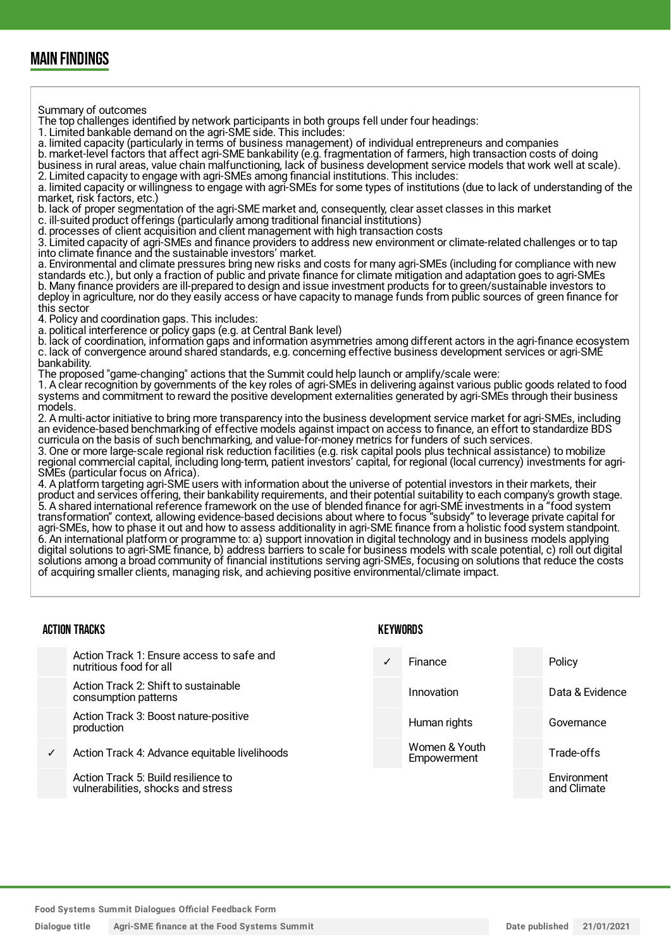### MAIN FINDINGS

Summary of outcomes

The top challenges identified by network participants in both groups fell under four headings:

1. Limited bankable demand on the agri-SME side. This includes:

a. limited capacity (particularly in terms of business management) of individual entrepreneurs and companies

b. market-level factors that affect agri-SME bankability (e.g. fragmentation of farmers, high transaction costs of doing business in rural areas, value chain malfunctioning, lack of business development service models that work well at scale). 2. Limited capacity to engage with agri-SMEs among financial institutions. This includes:

a. limited capacity or willingness to engage with agri-SMEs for some types of institutions (due to lack of understanding of the market, risk factors, etc.)

b. lack of proper segmentation of the agri-SME market and, consequently, clear asset classes in this market

c. ill-suited product offerings (particularly among traditional financial institutions)

d. processes of client acquisition and client management with high transaction costs

3. Limited capacity of agri-SMEs and finance providers to address new environment or climate-related challenges or to tap into climate finance and the sustainable investors' market.

a. Environmental and climate pressures bring new risks and costs for many agri-SMEs (including for compliance with new standards etc.), but only a fraction of public and private finance for climate mitigation and adaptation goes to agri-SMEs b. Many finance providers are ill-prepared to design and issue investment products for to green/sustainable investors to deploy in agriculture, nor do they easily access or have capacity to manage funds from public sources of green finance for this sector

4. Policy and coordination gaps. This includes:

a. political interference or policy gaps (e.g. at Central Bank level)

b. lack of coordination, information gaps and information asymmetries among different actors in the agri-finance ecosystem c. lack of convergence around shared standards, e.g. concerning effective business development services or agri-SME bankability.

The proposed "game-changing" actions that the Summit could help launch or amplify/scale were:

1. A clear recognition by governments of the key roles of agri-SMEs in delivering against various public goods related to food systems and commitment to reward the positive development externalities generated by agri-SMEs through their business models.

2. A multi-actor initiative to bring more transparency into the business development service market for agri-SMEs, including an evidence-based benchmarking of effective models against impact on access to finance, an effort to standardize BDS curricula on the basis of such benchmarking, and value-for-money metrics for funders of such services.

3. One or more large-scale regional risk reduction facilities (e.g. risk capital pools plus technical assistance) to mobilize regional commercial capital, including long-term, patient investors' capital, for regional (local currency) investments for agri-SMEs (particular focus on Africa).

4. A platform targeting agri-SME users with information about the universe of potential investors in their markets, their product and services offering, their bankability requirements, and their potential suitability to each company's growth stage. 5. A shared international reference framework on the use of blended finance for agri-SME investments in a "food system transformation" context, allowing evidence-based decisions about where to focus "subsidy" to leverage private capital for agri-SMEs, how to phase it out and how to assess additionality in agri-SME finance from a holistic food system standpoint. 6. An international platform or programme to: a) support innovation in digital technology and in business models applying digital solutions to agri-SME finance, b) address barriers to scale for business models with scale potential, c) roll out digital solutions among a broad community of financial institutions serving agri-SMEs, focusing on solutions that reduce the costs of acquiring smaller clients, managing risk, and achieving positive environmental/climate impact.

#### ACTION TRACKS Action Track 1: Ensure access to safe and nutritious food for all Action Track 2: Shift to sustainable consumption patterns Action Track 3: Boost nature-positive production ✓ Action Track 4: Advance equitable livelihoods Action Track 5: Build resilience to vulnerabilities, shocks and stress KEYWORDS Finance Policy Innovation Data & Evidence Human rights **Governance** Women & Youth Empowerment Trade-offs **Environment** and Climate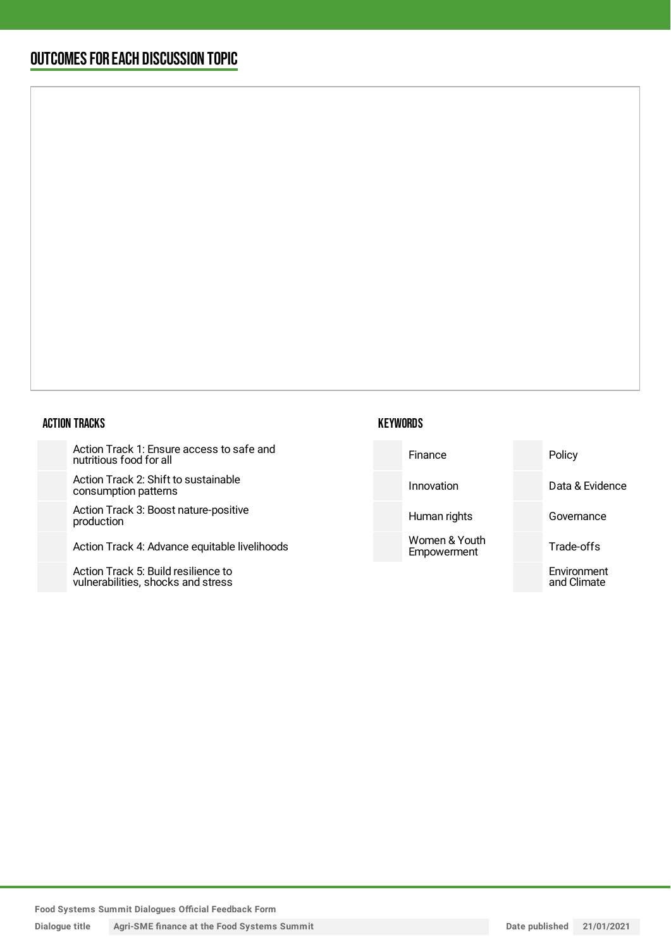### OUTCOMESFOR EACH DISCUSSION TOPIC

#### ACTION TRACKS

Action Track 1: Ensure access to safe and nutritious food for all

Action Track 2: Shift to sustainable consumption patterns

Action Track 3: Boost nature-positive production

Action Track 4: Advance equitable liv

Action Track 5: Build resilience to vulnerabilities, shocks and stress

| fe and    | Finance                      | Policy                     |
|-----------|------------------------------|----------------------------|
|           | Innovation                   | Data & Evidence            |
| e         | Human rights                 | Governance                 |
| velihoods | Women & Youth<br>Empowerment | Trade-offs                 |
|           |                              | Environment<br>and Climate |
|           |                              |                            |